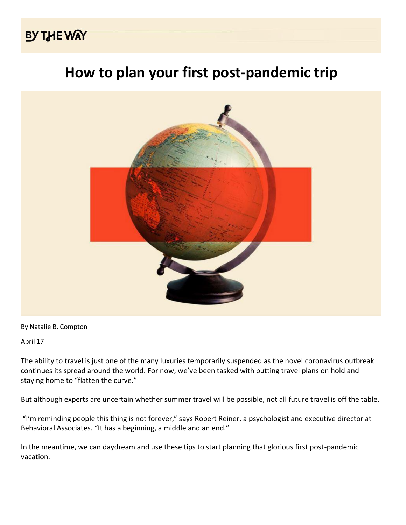# **BY THE WAY**

# **How to plan your first post-pandemic trip**



By Natalie B. Compton

April 17

The ability to travel is just one of the many luxuries temporarily suspended as the novel coronavirus outbreak continues its spread around the world. For now, we've been tasked with putting travel plans on hold and staying home to "flatten the curve."

But although experts are uncertain whether summer travel will be possible, not all future travel is off the table.

"I'm reminding people this thing is not forever," says Robert Reiner, a psychologist and executive director at Behavioral Associates. "It has a beginning, a middle and an end."

In the meantime, we can daydream and use these tips to start planning that glorious first post-pandemic vacation.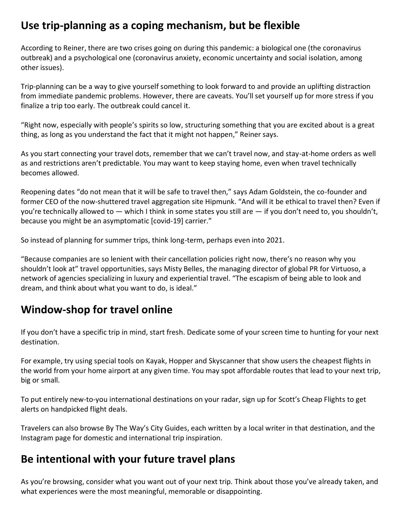## **Use trip-planning as a coping mechanism, but be flexible**

According to Reiner, there are two crises going on during this pandemic: a biological one (the coronavirus outbreak) and a psychological one (coronavirus anxiety, economic uncertainty and social isolation, among other issues).

Trip-planning can be a way to give yourself something to look forward to and provide an uplifting distraction from immediate pandemic problems. However, there are caveats. You'll set yourself up for more stress if you finalize a trip too early. The outbreak could cancel it.

"Right now, especially with people's spirits so low, structuring something that you are excited about is a great thing, as long as you understand the fact that it might not happen," Reiner says.

As you start connecting your travel dots, remember that we can't travel now, and stay-at-home orders as well as and restrictions aren't predictable. You may want to keep staying home, even when travel technically becomes allowed.

Reopening dates "do not mean that it will be safe to travel then," says Adam Goldstein, the co-founder and former CEO of the now-shuttered travel aggregation site Hipmunk. "And will it be ethical to travel then? Even if you're technically allowed to — which I think in some states you still are — if you don't need to, you shouldn't, because you might be an asymptomatic [covid-19] carrier."

So instead of planning for summer trips, think long-term, perhaps even into 2021.

"Because companies are so lenient with their cancellation policies right now, there's no reason why you shouldn't look at" travel opportunities, says Misty Belles, the managing director of global PR for Virtuoso, a network of agencies specializing in luxury and experiential travel. "The escapism of being able to look and dream, and think about what you want to do, is ideal."

#### **Window-shop for travel online**

If you don't have a specific trip in mind, start fresh. Dedicate some of your screen time to hunting for your next destination.

For example, try using special tools on Kayak, Hopper and Skyscanner that show users the cheapest flights in the world from your home airport at any given time. You may spot affordable routes that lead to your next trip, big or small.

To put entirely new-to-you international destinations on your radar, sign up for Scott's Cheap Flights to get alerts on handpicked flight deals.

Travelers can also browse By The Way's City Guides, each written by a local writer in that destination, and the Instagram page for domestic and international trip inspiration.

#### **Be intentional with your future travel plans**

As you're browsing, consider what you want out of your next trip. Think about those you've already taken, and what experiences were the most meaningful, memorable or disappointing.